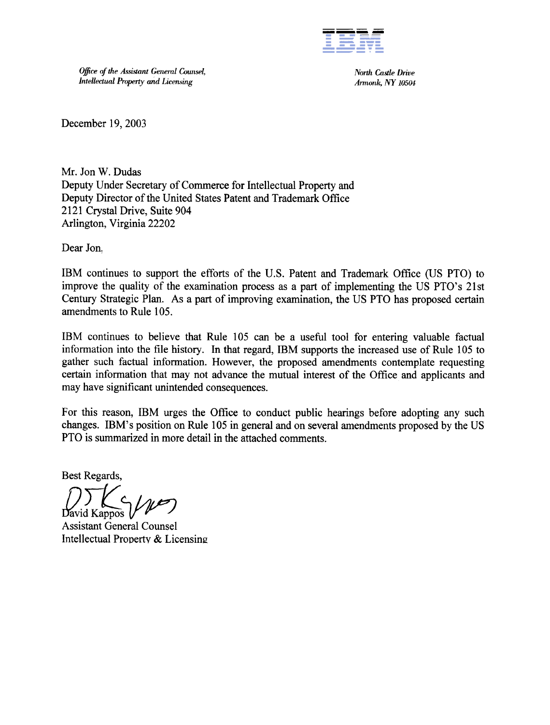

Office of the Assistant General Counsel, Intellectual Property and Licensing

North Castle Drive Armonk, NY 10504

December 19,2003

Mr. Jon W. Dudas Deputy Under Secretary of Commerce for Intellectual Property and Deputy Director of the United States Patent and Trademark Office 2121 Crystal Drive, Suite 904 Arlington, Virginia 22202

Dear Jon,

IBM continues to support the efforts of the U.S. Patent and Trademark Office (US PTO) to improve the quality of the examination process as a part of implementing the US PTO's 21st Century Strategic Plan. As a part of improving examination, the US PTO has proposed certain amendments to Rule 105.

IBM continues to believe that Rule 105 can be a useful tool for entering valuable factual information into the file history. In that regard, IBM supports the increased use of Rule 105 to gather such factual information. However, the proposed amendments contemplate requesting certain information that may not advance the mutual interest of the Office and applicants and may have significant unintended consequences.

For this reason, IBM urges the Office to conduct public hearings before adopting any such changes. IBM's position on Rule 105 in general and on several amendments proposed by the US PTO is summarized in more detail in the attached comments.

Best Regards,

 $\sum_{\text{David K annos}}$ //

Assistant General Counsel Intellectual Property & Licensing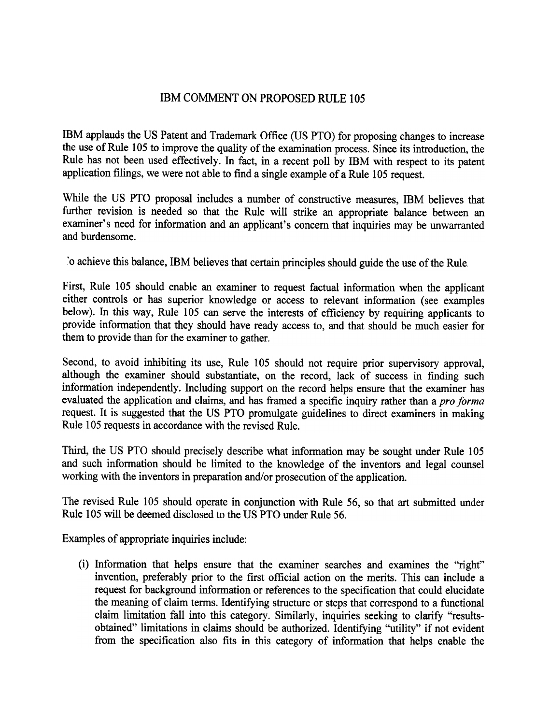## IBM COMMENT ON PROPOSED RULE 105

IBM applauds the US Patent and Trademark Office (US PTO) for proposing changes to increase the use of Rule 105 to improve the quality of the examination process. Since its introduction, the Rule has not been used effectively. In fact, in a recent poll by IBM with respect to its patent application filings, we were not able to find a single example of a Rule 105 request.

While the US PTO proposal includes a number of constructive measures, IBM believes that further revision is needed so that the Rule will strike an appropriate balance between an examiner's need for information and an applicant's concern that inquiries may be unwarranted and burdensome.

'0 achievethis balance,IBM believes that certain principles should guide the use of the Rule

First, Rule 105 should enable an examiner to request factual information when the applicant either controls or has superior knowledge or access to relevant infonnation (see examples below). In this way, Rule 105 can serve the interests of efficiency by requiring applicants to provide information that they should have ready access to, and that should be much easier for them to provide than for the examiner to gather.

Second, to avoid inhibiting its use, Rule 105 should not require prior supervisory approval, although the examiner should substantiate, on the record, lack of success in finding such information independently. Including support on the record helps ensure that the examiner has evaluated the application and claims, and has framed a specific inquiry rather than a pro forma request. It is suggested that the US PTO promulgate guidelines to direct examiners in making Rule 105 requests in accordance with the revised Rule.

Third, the US PTO should precisely describe what information may be sought under Rule 105 and such infonnation should be limited to the knowledge of the inventors and legal counsel working with the inventors in preparation and/or prosecution of the application.

The revised Rule 105 should operate in conjunction with Rule 56, so that art submitted under Rule 105 will be deemed disclosed to the US PTO under Rule 56.

Examples of appropriate inquiries include:

(i) Information that helps ensure that the examiner searches and examines the "right" invention, preferably prior to the first official action on the merits. This can include a request for background information or references to the specification that could elucidate the meaning of claim terms. Identifying structure or steps that correspond to a functional claim limitation fall into this category. Similarly, inquiries seeking to clarify "resultsobtained" limitations in claims should be authorized. Identifying "utility" if not evident from the specification also fits in this category of information that helps enable the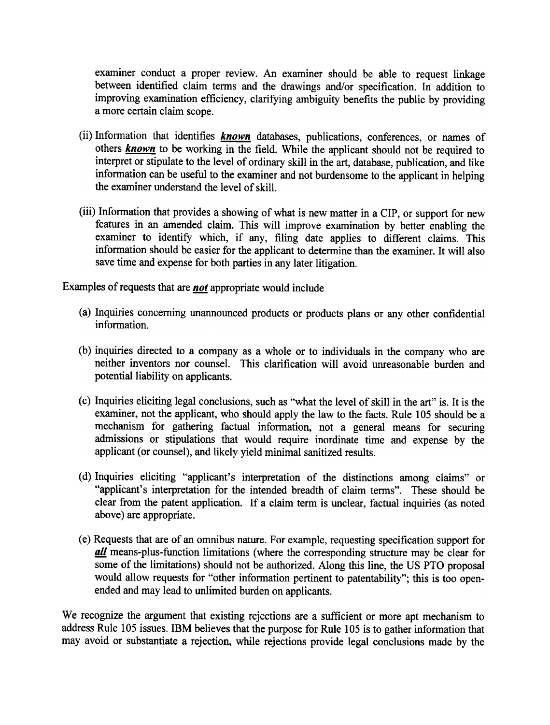examiner conduct a proper review. An examiner should be able to request linkage between identified claim terms and the drawings and/or specification. In addition to improving examination efficiency, clarifying ambiguity benefits the public by providing a more certain claim scope.

- (ii) Information that identifies  $\frac{known}{}$  databases, publications, conferences, or names of others **known** to be working in the field. While the applicant should not be required to interpret or stipulate to the level of ordinary skill in the art, database, publication, and like information can be useful to the examiner and not burdensometo the applicant in helping the examiner understand the level of skill.
- (iii) Information that provides a showing of what is new matter in a CIP, or support for new features in an amended claim. This will improve examination by better enabling the examiner to identify which, if any, filing date applies to different claims. This information should be easier for the applicant to determine than the examiner. It will also save time and expense for both parties in any later litigation.

Examples of requests that are *not* appropriate would include:

- (a) Inquiries concerning unannounced products or products plans or any other confidential information.
- (b) inquiries directed to a company as a whole or to individuals in the company who are neither inventors nor counsel. This clarification will avoid unreasonable burden and potential liability on applicants.
- (c) Inquiries eliciting legal conclusions, such as "what the level of skill in the art" is. It is the examiner, not the applicant, who should apply the law to the facts. Rule 105 should be a mechanism for gathering factual information, not a general means for securing admissions or stipulations that would require inordinate time and expense by the applicant (or counsel), and likely yield minimal sanitized results.
- (d) Inquiries eliciting "applicant's interpretation of the distinctions among claims" or "applicant's interpretation for the intended breadth of claim terms". These should be clear from the patent application. If a claim term is unclear, factual inquiries (as noted above) are appropriate.
- (e) Requests that are of an omnibus nature. For example, requesting specification support for **all** means-plus-function limitations (where the corresponding structure may be clear for some of the limitations) should not be authorized. Along this line, the US PTO proposal would allow requests for "other information pertinent to patentability"; this is too openendedand may lead to unlimited burden on applicants.

We recognize the argument that existing rejections are a sufficient or more apt mechanism to address Rule 105 issues. IBM believes that the purpose for Rule 105 is to gather information that may avoid or substantiate a rejection, while rejections provide legal conclusions made by the